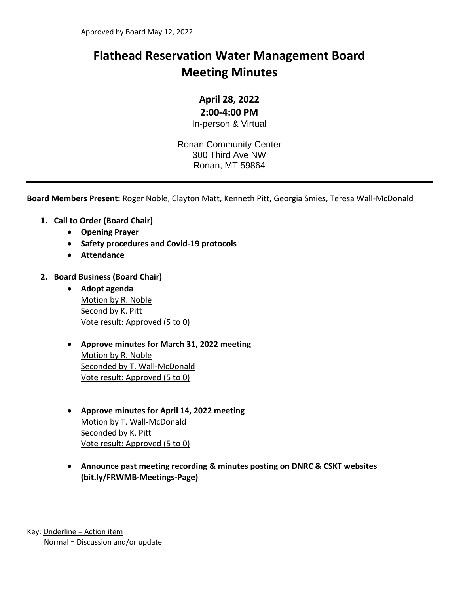# **Flathead Reservation Water Management Board Meeting Minutes**

# **April 28, 2022**

## **2:00-4:00 PM**

In-person & Virtual

Ronan Community Center 300 Third Ave NW Ronan, MT 59864

**Board Members Present:** Roger Noble, Clayton Matt, Kenneth Pitt, Georgia Smies, Teresa Wall-McDonald

- **1. Call to Order (Board Chair)**
	- **Opening Prayer**
	- **Safety procedures and Covid-19 protocols**
	- **Attendance**
- **2. Board Business (Board Chair)**
	- **Adopt agenda** Motion by R. Noble Second by K. Pitt Vote result: Approved (5 to 0)
	- **Approve minutes for March 31, 2022 meeting** Motion by R. Noble Seconded by T. Wall-McDonald Vote result: Approved (5 to 0)
	- **Approve minutes for April 14, 2022 meeting** Motion by T. Wall-McDonald Seconded by K. Pitt Vote result: Approved (5 to 0)
	- **Announce past meeting recording & minutes posting on DNRC & CSKT websites (bit.ly/FRWMB-Meetings-Page)**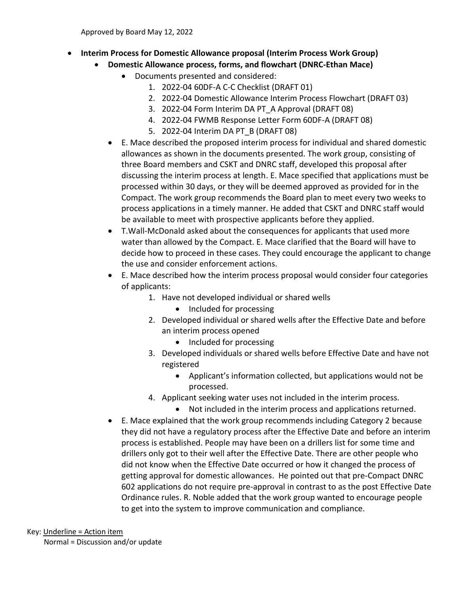- **Interim Process for Domestic Allowance proposal (Interim Process Work Group)**
	- **Domestic Allowance process, forms, and flowchart (DNRC-Ethan Mace)**
		- Documents presented and considered:
			- 1. 2022-04 60DF-A C-C Checklist (DRAFT 01)
			- 2. 2022-04 Domestic Allowance Interim Process Flowchart (DRAFT 03)
			- 3. 2022-04 Form Interim DA PT\_A Approval (DRAFT 08)
			- 4. 2022-04 FWMB Response Letter Form 60DF-A (DRAFT 08)
			- 5. 2022-04 Interim DA PT\_B (DRAFT 08)
		- E. Mace described the proposed interim process for individual and shared domestic allowances as shown in the documents presented. The work group, consisting of three Board members and CSKT and DNRC staff, developed this proposal after discussing the interim process at length. E. Mace specified that applications must be processed within 30 days, or they will be deemed approved as provided for in the Compact. The work group recommends the Board plan to meet every two weeks to process applications in a timely manner. He added that CSKT and DNRC staff would be available to meet with prospective applicants before they applied.
		- T.Wall-McDonald asked about the consequences for applicants that used more water than allowed by the Compact. E. Mace clarified that the Board will have to decide how to proceed in these cases. They could encourage the applicant to change the use and consider enforcement actions.
		- E. Mace described how the interim process proposal would consider four categories of applicants:
			- 1. Have not developed individual or shared wells
				- Included for processing
			- 2. Developed individual or shared wells after the Effective Date and before an interim process opened
				- Included for processing
			- 3. Developed individuals or shared wells before Effective Date and have not registered
				- Applicant's information collected, but applications would not be processed.
			- 4. Applicant seeking water uses not included in the interim process.
				- Not included in the interim process and applications returned.
		- E. Mace explained that the work group recommends including Category 2 because they did not have a regulatory process after the Effective Date and before an interim process is established. People may have been on a drillers list for some time and drillers only got to their well after the Effective Date. There are other people who did not know when the Effective Date occurred or how it changed the process of getting approval for domestic allowances. He pointed out that pre-Compact DNRC 602 applications do not require pre-approval in contrast to as the post Effective Date Ordinance rules. R. Noble added that the work group wanted to encourage people to get into the system to improve communication and compliance.

# Key: Underline = Action item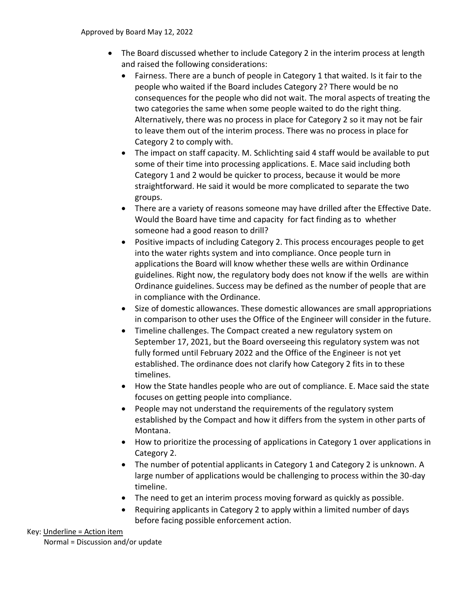- The Board discussed whether to include Category 2 in the interim process at length and raised the following considerations:
	- Fairness. There are a bunch of people in Category 1 that waited. Is it fair to the people who waited if the Board includes Category 2? There would be no consequences for the people who did not wait. The moral aspects of treating the two categories the same when some people waited to do the right thing. Alternatively, there was no process in place for Category 2 so it may not be fair to leave them out of the interim process. There was no process in place for Category 2 to comply with.
	- The impact on staff capacity. M. Schlichting said 4 staff would be available to put some of their time into processing applications. E. Mace said including both Category 1 and 2 would be quicker to process, because it would be more straightforward. He said it would be more complicated to separate the two groups.
	- There are a variety of reasons someone may have drilled after the Effective Date. Would the Board have time and capacity for fact finding as to whether someone had a good reason to drill?
	- Positive impacts of including Category 2. This process encourages people to get into the water rights system and into compliance. Once people turn in applications the Board will know whether these wells are within Ordinance guidelines. Right now, the regulatory body does not know if the wells are within Ordinance guidelines. Success may be defined as the number of people that are in compliance with the Ordinance.
	- Size of domestic allowances. These domestic allowances are small appropriations in comparison to other uses the Office of the Engineer will consider in the future.
	- Timeline challenges. The Compact created a new regulatory system on September 17, 2021, but the Board overseeing this regulatory system was not fully formed until February 2022 and the Office of the Engineer is not yet established. The ordinance does not clarify how Category 2 fits in to these timelines.
	- How the State handles people who are out of compliance. E. Mace said the state focuses on getting people into compliance.
	- People may not understand the requirements of the regulatory system established by the Compact and how it differs from the system in other parts of Montana.
	- How to prioritize the processing of applications in Category 1 over applications in Category 2.
	- The number of potential applicants in Category 1 and Category 2 is unknown. A large number of applications would be challenging to process within the 30-day timeline.
	- The need to get an interim process moving forward as quickly as possible.
	- Requiring applicants in Category 2 to apply within a limited number of days before facing possible enforcement action.

#### Key: Underline = Action item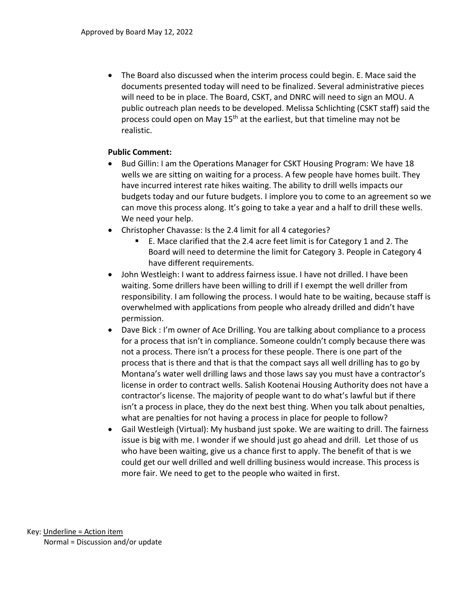• The Board also discussed when the interim process could begin. E. Mace said the documents presented today will need to be finalized. Several administrative pieces will need to be in place. The Board, CSKT, and DNRC will need to sign an MOU. A public outreach plan needs to be developed. Melissa Schlichting (CSKT staff) said the process could open on May 15<sup>th</sup> at the earliest, but that timeline may not be realistic.

## **Public Comment:**

- Bud Gillin: I am the Operations Manager for CSKT Housing Program: We have 18 wells we are sitting on waiting for a process. A few people have homes built. They have incurred interest rate hikes waiting. The ability to drill wells impacts our budgets today and our future budgets. I implore you to come to an agreement so we can move this process along. It's going to take a year and a half to drill these wells. We need your help.
- Christopher Chavasse: Is the 2.4 limit for all 4 categories?
	- E. Mace clarified that the 2.4 acre feet limit is for Category 1 and 2. The Board will need to determine the limit for Category 3. People in Category 4 have different requirements.
- John Westleigh: I want to address fairness issue. I have not drilled. I have been waiting. Some drillers have been willing to drill if I exempt the well driller from responsibility. I am following the process. I would hate to be waiting, because staff is overwhelmed with applications from people who already drilled and didn't have permission.
- Dave Bick : I'm owner of Ace Drilling. You are talking about compliance to a process for a process that isn't in compliance. Someone couldn't comply because there was not a process. There isn't a process for these people. There is one part of the process that is there and that is that the compact says all well drilling has to go by Montana's water well drilling laws and those laws say you must have a contractor's license in order to contract wells. Salish Kootenai Housing Authority does not have a contractor's license. The majority of people want to do what's lawful but if there isn't a process in place, they do the next best thing. When you talk about penalties, what are penalties for not having a process in place for people to follow?
- Gail Westleigh (Virtual): My husband just spoke. We are waiting to drill. The fairness issue is big with me. I wonder if we should just go ahead and drill. Let those of us who have been waiting, give us a chance first to apply. The benefit of that is we could get our well drilled and well drilling business would increase. This process is more fair. We need to get to the people who waited in first.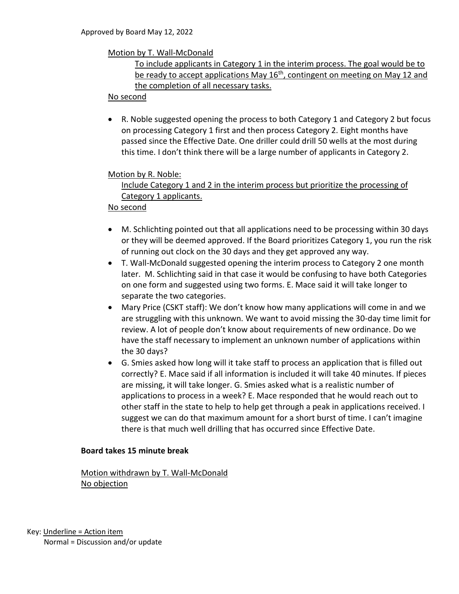#### Motion by T. Wall-McDonald

## To include applicants in Category 1 in the interim process. The goal would be to be ready to accept applications May  $16<sup>th</sup>$ , contingent on meeting on May 12 and the completion of all necessary tasks.

#### No second

• R. Noble suggested opening the process to both Category 1 and Category 2 but focus on processing Category 1 first and then process Category 2. Eight months have passed since the Effective Date. One driller could drill 50 wells at the most during this time. I don't think there will be a large number of applicants in Category 2.

#### Motion by R. Noble:

# Include Category 1 and 2 in the interim process but prioritize the processing of Category 1 applicants.

#### No second

- M. Schlichting pointed out that all applications need to be processing within 30 days or they will be deemed approved. If the Board prioritizes Category 1, you run the risk of running out clock on the 30 days and they get approved any way.
- T. Wall-McDonald suggested opening the interim process to Category 2 one month later. M. Schlichting said in that case it would be confusing to have both Categories on one form and suggested using two forms. E. Mace said it will take longer to separate the two categories.
- Mary Price (CSKT staff): We don't know how many applications will come in and we are struggling with this unknown. We want to avoid missing the 30-day time limit for review. A lot of people don't know about requirements of new ordinance. Do we have the staff necessary to implement an unknown number of applications within the 30 days?
- G. Smies asked how long will it take staff to process an application that is filled out correctly? E. Mace said if all information is included it will take 40 minutes. If pieces are missing, it will take longer. G. Smies asked what is a realistic number of applications to process in a week? E. Mace responded that he would reach out to other staff in the state to help to help get through a peak in applications received. I suggest we can do that maximum amount for a short burst of time. I can't imagine there is that much well drilling that has occurred since Effective Date.

#### **Board takes 15 minute break**

Motion withdrawn by T. Wall-McDonald No objection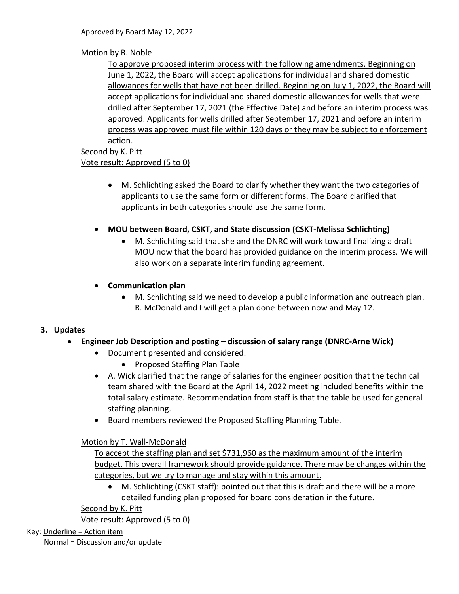# Motion by R. Noble

To approve proposed interim process with the following amendments. Beginning on June 1, 2022, the Board will accept applications for individual and shared domestic allowances for wells that have not been drilled. Beginning on July 1, 2022, the Board will accept applications for individual and shared domestic allowances for wells that were drilled after September 17, 2021 (the Effective Date) and before an interim process was approved. Applicants for wells drilled after September 17, 2021 and before an interim process was approved must file within 120 days or they may be subject to enforcement action.

#### Second by K. Pitt Vote result: Approved (5 to 0)

- M. Schlichting asked the Board to clarify whether they want the two categories of applicants to use the same form or different forms. The Board clarified that applicants in both categories should use the same form.
- **MOU between Board, CSKT, and State discussion (CSKT-Melissa Schlichting)**
	- M. Schlichting said that she and the DNRC will work toward finalizing a draft MOU now that the board has provided guidance on the interim process. We will also work on a separate interim funding agreement.

## • **Communication plan**

• M. Schlichting said we need to develop a public information and outreach plan. R. McDonald and I will get a plan done between now and May 12.

# **3. Updates**

- **Engineer Job Description and posting – discussion of salary range (DNRC-Arne Wick)**
	- Document presented and considered:
		- Proposed Staffing Plan Table
	- A. Wick clarified that the range of salaries for the engineer position that the technical team shared with the Board at the April 14, 2022 meeting included benefits within the total salary estimate. Recommendation from staff is that the table be used for general staffing planning.
	- Board members reviewed the Proposed Staffing Planning Table.

## Motion by T. Wall-McDonald

To accept the staffing plan and set \$731,960 as the maximum amount of the interim budget. This overall framework should provide guidance. There may be changes within the categories, but we try to manage and stay within this amount.

• M. Schlichting (CSKT staff): pointed out that this is draft and there will be a more detailed funding plan proposed for board consideration in the future.

Second by K. Pitt

Vote result: Approved (5 to 0)

Key: Underline = Action item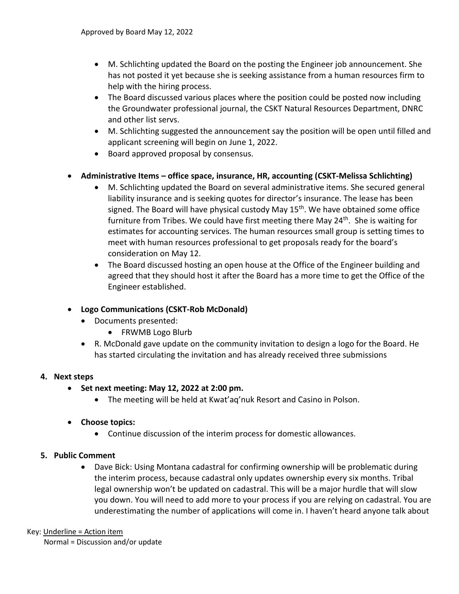- M. Schlichting updated the Board on the posting the Engineer job announcement. She has not posted it yet because she is seeking assistance from a human resources firm to help with the hiring process.
- The Board discussed various places where the position could be posted now including the Groundwater professional journal, the CSKT Natural Resources Department, DNRC and other list servs.
- M. Schlichting suggested the announcement say the position will be open until filled and applicant screening will begin on June 1, 2022.
- Board approved proposal by consensus.

## • **Administrative Items – office space, insurance, HR, accounting (CSKT-Melissa Schlichting)**

- M. Schlichting updated the Board on several administrative items. She secured general liability insurance and is seeking quotes for director's insurance. The lease has been signed. The Board will have physical custody May 15<sup>th</sup>. We have obtained some office furniture from Tribes. We could have first meeting there May 24<sup>th</sup>. She is waiting for estimates for accounting services. The human resources small group is setting times to meet with human resources professional to get proposals ready for the board's consideration on May 12.
- The Board discussed hosting an open house at the Office of the Engineer building and agreed that they should host it after the Board has a more time to get the Office of the Engineer established.

# • **Logo Communications (CSKT-Rob McDonald)**

- Documents presented:
	- FRWMB Logo Blurb
- R. McDonald gave update on the community invitation to design a logo for the Board. He has started circulating the invitation and has already received three submissions

## **4. Next steps**

- **Set next meeting: May 12, 2022 at 2:00 pm.** 
	- The meeting will be held at Kwat'aq'nuk Resort and Casino in Polson.

## • **Choose topics:**

• Continue discussion of the interim process for domestic allowances.

# **5. Public Comment**

• Dave Bick: Using Montana cadastral for confirming ownership will be problematic during the interim process, because cadastral only updates ownership every six months. Tribal legal ownership won't be updated on cadastral. This will be a major hurdle that will slow you down. You will need to add more to your process if you are relying on cadastral. You are underestimating the number of applications will come in. I haven't heard anyone talk about

#### Key: Underline = Action item